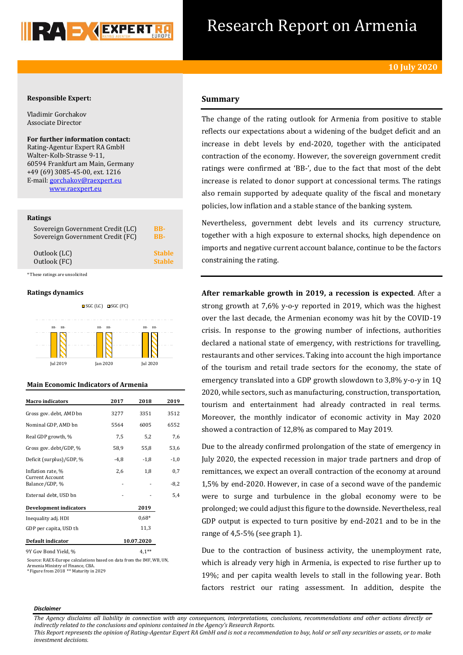

## Research Report on Armenia

#### **Responsible Expert:**

Vladimir Gorchakov Associate Director

**For further information contact:** Rating-Agentur Expert RA GmbH Walter-Kolb-Strasse 9-11, 60594 Frankfurt am Main, Germany +49 (69) 3085-45-00, ext. 1216 E-mail[: gorchakov@raexpert.eu](mailto:gorchakov@raexpert.eu) [www.raexpert.eu](http://raexpert.eu/)

#### **Ratings**

| Sovereign Government Credit (LC) | BB-           |
|----------------------------------|---------------|
| Sovereign Government Credit (FC) | <b>BB-</b>    |
| Outlook (LC)                     | <b>Stable</b> |
| Outlook (FC)                     | <b>Stable</b> |

\* These ratings are unsolicited

#### **Ratings dynamics**



Jul 2019 Jan 2020 Jul 2020



| <b>Macro</b> indicators                     | 2017 | 2018       | 2019   |
|---------------------------------------------|------|------------|--------|
| Gross gov. debt, AMD bn                     | 3277 | 3351       | 3512   |
| Nominal GDP, AMD bn                         | 5564 | 6005       | 6552   |
| Real GDP growth, %                          | 7,5  | 5,2        | 7,6    |
| Gross gov. debt/GDP, %                      | 58,9 | 55,8       | 53,6   |
| Deficit (surplus)/GDP, %                    | -4,8 | $-1,8$     | $-1,0$ |
| Inflation rate, %<br><b>Current Account</b> | 2,6  | 1,8        | 0,7    |
| Balance/GDP, %                              |      |            | $-8,2$ |
| External debt, USD bn                       |      |            | 5,4    |
| <b>Development indicators</b>               |      | 2019       |        |
| Inequality adj. HDI                         |      | $0.68*$    |        |
| GDP per capita, USD th                      |      | 11,3       |        |
| Default indicator                           |      | 10.07.2020 |        |
| 9Y Gov Bond Yield, %                        |      | $4,1$ **   |        |

Source: RAEX-Europe calculations based on data from the IMF, WB, UN, Armenia Ministry of Finance, CBA. \* Figure from 2018 \*\* Maturity in 2029

#### **Summary**

The change of the rating outlook for Armenia from positive to stable reflects our expectations about a widening of the budget deficit and an increase in debt levels by end-2020, together with the anticipated contraction of the economy. However, the sovereign government credit ratings were confirmed at 'BB-', due to the fact that most of the debt increase is related to donor support at concessional terms. The ratings also remain supported by adequate quality of the fiscal and monetary policies, low inflation and a stable stance of the banking system.

Nevertheless, government debt levels and its currency structure, together with a high exposure to external shocks, high dependence on imports and negative current account balance, continue to be the factors constraining the rating.

**After remarkable growth in 2019, a recession is expected**. After a strong growth at 7,6% y-o-y reported in 2019, which was the highest over the last decade, the Armenian economy was hit by the COVID-19 crisis. In response to the growing number of infections, authorities declared a national state of emergency, with restrictions for travelling, restaurants and other services. Taking into account the high importance of the tourism and retail trade sectors for the economy, the state of emergency translated into a GDP growth slowdown to 3,8% y-o-y in 1Q 2020, while sectors, such as manufacturing, construction, transportation, tourism and entertainment had already contracted in real terms. Moreover, the monthly indicator of economic activity in May 2020 showed a contraction of 12,8% as compared to May 2019.

Due to the already confirmed prolongation of the state of emergency in July 2020, the expected recession in major trade partners and drop of remittances, we expect an overall contraction of the economy at around 1,5% by end-2020. However, in case of a second wave of the pandemic were to surge and turbulence in the global economy were to be prolonged; we could adjust this figure to the downside. Nevertheless, real GDP output is expected to turn positive by end-2021 and to be in the range of 4,5-5% (see graph 1).

Due to the contraction of business activity, the unemployment rate, which is already very high in Armenia, is expected to rise further up to 19%; and per capita wealth levels to stall in the following year. Both factors restrict our rating assessment. In addition, despite the

#### *Disclaimer*

*The Agency disclaims all liability in connection with any consequences, interpretations, conclusions, recommendations and other actions directly or indirectly related to the conclusions and opinions contained in the Agency's Research Reports.*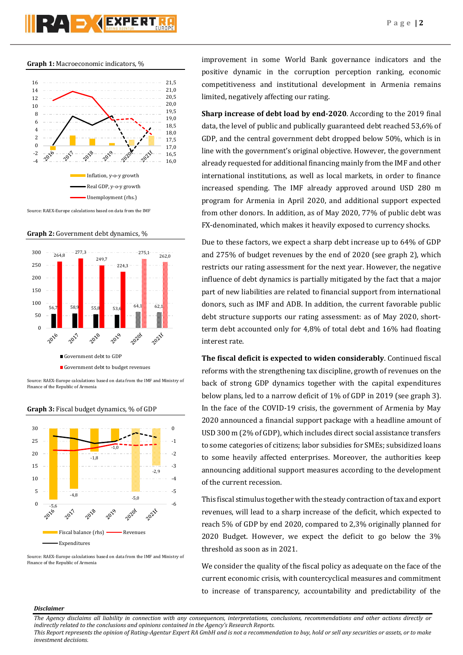# RAD KEXPERT

#### **Graph 1:** Macroeconomic indicators, %



Source: RAEX-Europe calculations based on data from the IMF

**Graph 2:** Government debt dynamics, %



Source: RAEX-Europe calculations based on data from the IMF and Ministry of Finance of the Republic of Armenia



**Graph 3:** Fiscal budget dynamics, % of GDP

Source: RAEX-Europe calculations based on data from the IMF and Ministry of Finance of the Republic of Armenia

improvement in some World Bank governance indicators and the positive dynamic in the corruption perception ranking, economic competitiveness and institutional development in Armenia remains limited, negatively affecting our rating.

**Sharp increase of debt load by end-2020**. According to the 2019 final data, the level of public and publically guaranteed debt reached 53,6% of GDP, and the central government debt dropped below 50%, which is in line with the government's original objective. However, the government already requested for additional financing mainly from the IMF and other international institutions, as well as local markets, in order to finance increased spending. The IMF already approved around USD 280 m program for Armenia in April 2020, and additional support expected from other donors. In addition, as of May 2020, 77% of public debt was FX-denominated, which makes it heavily exposed to currency shocks.

Due to these factors, we expect a sharp debt increase up to 64% of GDP and 275% of budget revenues by the end of 2020 (see graph 2), which restricts our rating assessment for the next year. However, the negative influence of debt dynamics is partially mitigated by the fact that a major part of new liabilities are related to financial support from international donors, such as IMF and ADB. In addition, the current favorable public debt structure supports our rating assessment: as of May 2020, shortterm debt accounted only for 4,8% of total debt and 16% had floating interest rate.

**The fiscal deficit is expected to widen considerably**. Continued fiscal reforms with the strengthening tax discipline, growth of revenues on the back of strong GDP dynamics together with the capital expenditures below plans, led to a narrow deficit of 1% of GDP in 2019 (see graph 3). In the face of the COVID-19 crisis, the government of Armenia by May 2020 announced a financial support package with a headline amount of USD 300 m (2% of GDP), which includes direct social assistance transfers to some categories of citizens; labor subsidies for SMEs; subsidized loans to some heavily affected enterprises. Moreover, the authorities keep announcing additional support measures according to the development of the current recession.

This fiscal stimulus together with the steady contraction of tax and export revenues, will lead to a sharp increase of the deficit, which expected to reach 5% of GDP by end 2020, compared to 2,3% originally planned for 2020 Budget. However, we expect the deficit to go below the 3% threshold as soon as in 2021.

We consider the quality of the fiscal policy as adequate on the face of the current economic crisis, with countercyclical measures and commitment to increase of transparency, accountability and predictability of the

#### *Disclaimer*

*The Agency disclaims all liability in connection with any consequences, interpretations, conclusions, recommendations and other actions directly or indirectly related to the conclusions and opinions contained in the Agency's Research Reports.*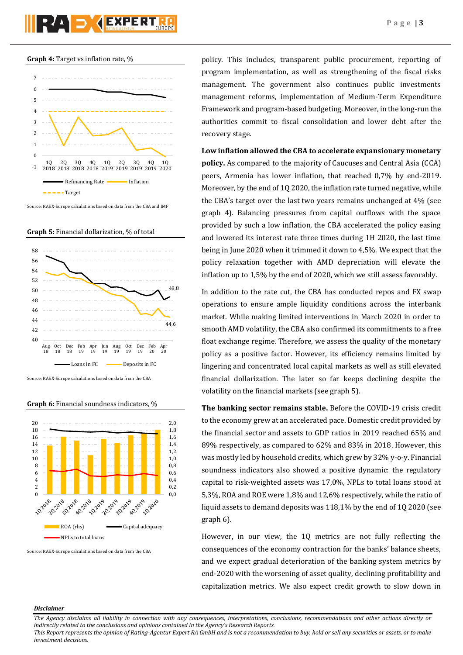





Source: RAEX-Europe calculations based on data from the CBA and IMF

**Graph 5:** Financial dollarization, % of total



#### **Graph 6:** Financial soundness indicators, %



Source: RAEX-Europe calculations based on data from the CBA

policy. This includes, transparent public procurement, reporting of program implementation, as well as strengthening of the fiscal risks management. The government also continues public investments management reforms, implementation of Medium-Term Expenditure Framework and program-based budgeting. Moreover, in the long-run the authorities commit to fiscal consolidation and lower debt after the recovery stage.

### **Low inflation allowed the CBA to accelerate expansionary monetary policy.** As compared to the majority of Caucuses and Central Asia (CCA) peers, Armenia has lower inflation, that reached 0,7% by end-2019. Moreover, by the end of 1Q 2020, the inflation rate turned negative, while the CBA's target over the last two years remains unchanged at 4% (see graph 4). Balancing pressures from capital outflows with the space provided by such a low inflation, the CBA accelerated the policy easing and lowered its interest rate three times during 1H 2020, the last time being in June 2020 when it trimmed it down to 4,5%. We expect that the policy relaxation together with AMD depreciation will elevate the inflation up to 1,5% by the end of 2020, which we still assess favorably.

In addition to the rate cut, the CBA has conducted repos and FX swap operations to ensure ample liquidity conditions across the interbank market. While making limited interventions in March 2020 in order to smooth AMD volatility, the CBA also confirmed its commitments to a free float exchange regime. Therefore, we assess the quality of the monetary policy as a positive factor. However, its efficiency remains limited by lingering and concentrated local capital markets as well as still elevated financial dollarization. The later so far keeps declining despite the volatility on the financial markets (see graph 5).

**The banking sector remains stable.** Before the COVID-19 crisis credit to the economy grew at an accelerated pace. Domestic credit provided by the financial sector and assets to GDP ratios in 2019 reached 65% and 89% respectively, as compared to 62% and 83% in 2018. However, this was mostly led by household credits, which grew by 32% y-o-y. Financial soundness indicators also showed a positive dynamic: the regulatory capital to risk-weighted assets was 17,0%, NPLs to total loans stood at 5,3%, ROA and ROE were 1,8% and 12,6% respectively, while the ratio of liquid assets to demand deposits was 118,1% by the end of 1Q 2020 (see graph 6).

However, in our view, the 1Q metrics are not fully reflecting the consequences of the economy contraction for the banks' balance sheets, and we expect gradual deterioration of the banking system metrics by end-2020 with the worsening of asset quality, declining profitability and capitalization metrics. We also expect credit growth to slow down in

#### *Disclaimer*

*The Agency disclaims all liability in connection with any consequences, interpretations, conclusions, recommendations and other actions directly or indirectly related to the conclusions and opinions contained in the Agency's Research Reports.*